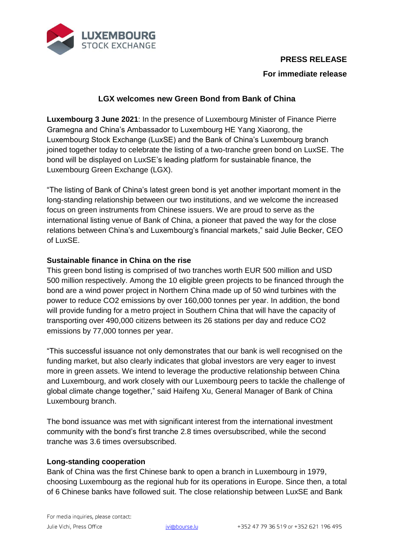

# **PRESS RELEASE**

# **For immediate release**

## **LGX welcomes new Green Bond from Bank of China**

**Luxembourg 3 June 2021**: In the presence of Luxembourg Minister of Finance Pierre Gramegna and China's Ambassador to Luxembourg HE Yang Xiaorong, the Luxembourg Stock Exchange (LuxSE) and the Bank of China's Luxembourg branch joined together today to celebrate the listing of a two-tranche green bond on LuxSE. The bond will be displayed on LuxSE's leading platform for sustainable finance, the Luxembourg Green Exchange (LGX).

"The listing of Bank of China's latest green bond is yet another important moment in the long-standing relationship between our two institutions, and we welcome the increased focus on green instruments from Chinese issuers. We are proud to serve as the international listing venue of Bank of China, a pioneer that paved the way for the close relations between China's and Luxembourg's financial markets," said Julie Becker, CEO of LuxSE.

## **Sustainable finance in China on the rise**

This green bond listing is comprised of two tranches worth EUR 500 million and USD 500 million respectively. Among the 10 eligible green projects to be financed through the bond are a wind power project in Northern China made up of 50 wind turbines with the power to reduce CO2 emissions by over 160,000 tonnes per year. In addition, the bond will provide funding for a metro project in Southern China that will have the capacity of transporting over 490,000 citizens between its 26 stations per day and reduce CO2 emissions by 77,000 tonnes per year.

"This successful issuance not only demonstrates that our bank is well recognised on the funding market, but also clearly indicates that global investors are very eager to invest more in green assets. We intend to leverage the productive relationship between China and Luxembourg, and work closely with our Luxembourg peers to tackle the challenge of global climate change together," said Haifeng Xu, General Manager of Bank of China Luxembourg branch.

The bond issuance was met with significant interest from the international investment community with the bond's first tranche 2.8 times oversubscribed, while the second tranche was 3.6 times oversubscribed.

### **Long-standing cooperation**

Bank of China was the first Chinese bank to open a branch in Luxembourg in 1979, choosing Luxembourg as the regional hub for its operations in Europe. Since then, a total of 6 Chinese banks have followed suit. The close relationship between LuxSE and Bank